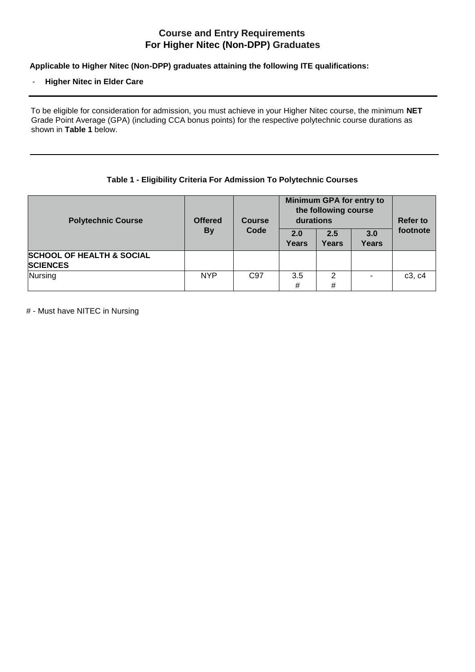# **Course and Entry Requirements For Higher Nitec (Non-DPP) Graduates**

**Applicable to Higher Nitec (Non-DPP) graduates attaining the following ITE qualifications:**

#### - **Higher Nitec in Elder Care**

To be eligible for consideration for admission, you must achieve in your Higher Nitec course, the minimum **NET**  Grade Point Average (GPA) (including CCA bonus points) for the respective polytechnic course durations as shown in **Table 1** below.

## **Table 1 - Eligibility Criteria For Admission To Polytechnic Courses**

| <b>Polytechnic Course</b>                               | <b>Offered</b><br><b>By</b> | <b>Course</b><br>Code | Minimum GPA for entry to<br>the following course<br>durations |              |              | <b>Refer to</b> |
|---------------------------------------------------------|-----------------------------|-----------------------|---------------------------------------------------------------|--------------|--------------|-----------------|
|                                                         |                             |                       | 2.0<br><b>Years</b>                                           | 2.5<br>Years | 3.0<br>Years | footnote        |
| <b>SCHOOL OF HEALTH &amp; SOCIAL</b><br><b>SCIENCES</b> |                             |                       |                                                               |              |              |                 |
| Nursing                                                 | <b>NYP</b>                  | C97                   | 3.5<br>#                                                      | C<br>#       |              | c3, c4          |

# - Must have NITEC in Nursing